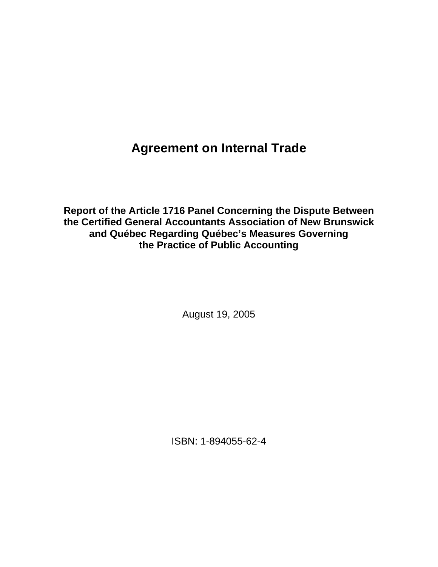**Agreement on Internal Trade**

**Report of the Article 1716 Panel Concerning the Dispute Between the Certified General Accountants Association of New Brunswick and Québec Regarding Québec's Measures Governing the Practice of Public Accounting** 

August 19, 2005

ISBN: 1-894055-62-4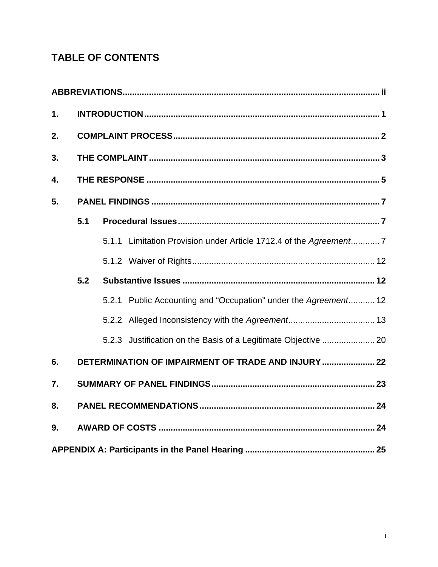# **TABLE OF CONTENTS**

| 1. |                                                     |  |                                                                    |  |
|----|-----------------------------------------------------|--|--------------------------------------------------------------------|--|
| 2. |                                                     |  |                                                                    |  |
| 3. |                                                     |  |                                                                    |  |
| 4. |                                                     |  |                                                                    |  |
| 5. |                                                     |  |                                                                    |  |
|    | 5.1                                                 |  |                                                                    |  |
|    |                                                     |  | 5.1.1 Limitation Provision under Article 1712.4 of the Agreement 7 |  |
|    |                                                     |  |                                                                    |  |
|    | 5.2                                                 |  |                                                                    |  |
|    |                                                     |  | 5.2.1 Public Accounting and "Occupation" under the Agreement 12    |  |
|    |                                                     |  |                                                                    |  |
|    |                                                     |  | 5.2.3 Justification on the Basis of a Legitimate Objective  20     |  |
| 6. | DETERMINATION OF IMPAIRMENT OF TRADE AND INJURY  22 |  |                                                                    |  |
| 7. |                                                     |  |                                                                    |  |
| 8. |                                                     |  |                                                                    |  |
| 9. |                                                     |  |                                                                    |  |
|    |                                                     |  |                                                                    |  |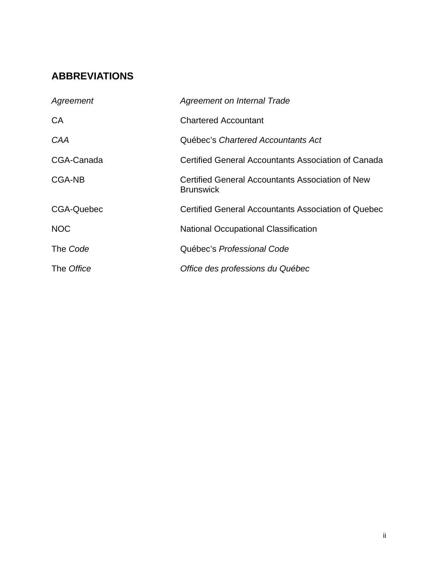# **ABBREVIATIONS**

| Agreement         | Agreement on Internal Trade                                                 |
|-------------------|-----------------------------------------------------------------------------|
| <b>CA</b>         | <b>Chartered Accountant</b>                                                 |
| <b>CAA</b>        | Québec's Chartered Accountants Act                                          |
| CGA-Canada        | Certified General Accountants Association of Canada                         |
| CGA-NB            | <b>Certified General Accountants Association of New</b><br><b>Brunswick</b> |
| <b>CGA-Quebec</b> | Certified General Accountants Association of Quebec                         |
| <b>NOC</b>        | <b>National Occupational Classification</b>                                 |
| The Code          | Québec's Professional Code                                                  |
| The Office        | Office des professions du Québec                                            |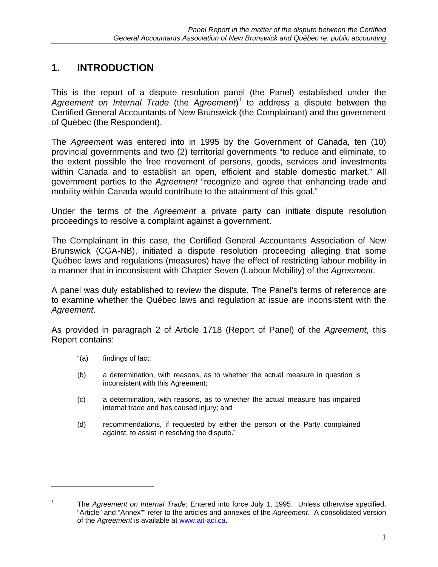# **1. INTRODUCTION**

This is the report of a dispute resolution panel (the Panel) established under the *Agreement on Internal Trade* (the *Agreement*) 1 to address a dispute between the Certified General Accountants of New Brunswick (the Complainant) and the government of Québec (the Respondent).

The *Agreemen*t was entered into in 1995 by the Government of Canada, ten (10) provincial governments and two (2) territorial governments "to reduce and eliminate, to the extent possible the free movement of persons, goods, services and investments within Canada and to establish an open, efficient and stable domestic market." All government parties to the *Agreement* "recognize and agree that enhancing trade and mobility within Canada would contribute to the attainment of this goal."

Under the terms of the *Agreement* a private party can initiate dispute resolution proceedings to resolve a complaint against a government.

The Complainant in this case, the Certified General Accountants Association of New Brunswick (CGA-NB), initiated a dispute resolution proceeding alleging that some Québec laws and regulations (measures) have the effect of restricting labour mobility in a manner that in inconsistent with Chapter Seven (Labour Mobility) of the *Agreement*.

A panel was duly established to review the dispute. The Panel's terms of reference are to examine whether the Québec laws and regulation at issue are inconsistent with the *Agreement*.

As provided in paragraph 2 of Article 1718 (Report of Panel) of the *Agreement*, this Report contains:

"(a) findings of fact;

 $\overline{a}$ 

- (b) a determination, with reasons, as to whether the actual measure in question is inconsistent with this Agreement;
- (c) a determination, with reasons, as to whether the actual measure has impaired internal trade and has caused injury; and
- (d) recommendations, if requested by either the person or the Party complained against, to assist in resolving the dispute."

<sup>1</sup> The *Agreement on Internal Trade*; Entered into force July 1, 1995. Unless otherwise specified, "Article" and "Annex"" refer to the articles and annexes of the *Agreement*. A consolidated version of the *Agreement* is available at www.ait-aci.ca.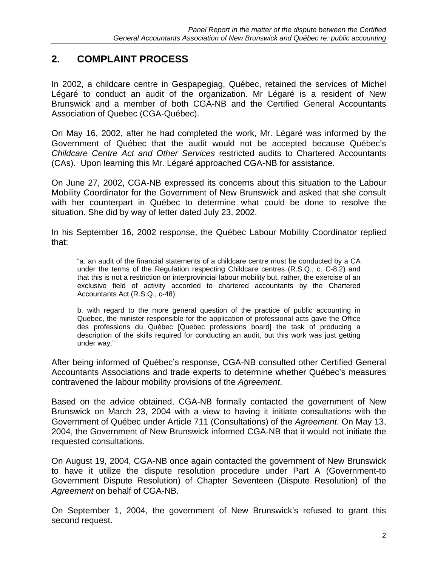# **2. COMPLAINT PROCESS**

In 2002, a childcare centre in Gespapegiag, Québec, retained the services of Michel Légaré to conduct an audit of the organization. Mr Légaré is a resident of New Brunswick and a member of both CGA-NB and the Certified General Accountants Association of Quebec (CGA-Québec).

On May 16, 2002, after he had completed the work, Mr. Légaré was informed by the Government of Québec that the audit would not be accepted because Québec's *Childcare Centre Act and Other Services* restricted audits to Chartered Accountants (CAs). Upon learning this Mr. Légaré approached CGA-NB for assistance.

On June 27, 2002, CGA-NB expressed its concerns about this situation to the Labour Mobility Coordinator for the Government of New Brunswick and asked that she consult with her counterpart in Québec to determine what could be done to resolve the situation. She did by way of letter dated July 23, 2002.

In his September 16, 2002 response, the Québec Labour Mobility Coordinator replied that:

"a. an audit of the financial statements of a childcare centre must be conducted by a CA under the terms of the Regulation respecting Childcare centres (R.S.Q., c. C-8.2) and that this is not a restriction on interprovincial labour mobility but, rather, the exercise of an exclusive field of activity accorded to chartered accountants by the Chartered Accountants Act (R.S.Q., c-48);

b. with regard to the more general question of the practice of public accounting in Quebec, the minister responsible for the application of professional acts gave the Office des professions du Québec [Quebec professions board] the task of producing a description of the skills required for conducting an audit, but this work was just getting under way."

After being informed of Québec's response, CGA-NB consulted other Certified General Accountants Associations and trade experts to determine whether Québec's measures contravened the labour mobility provisions of the *Agreement*.

Based on the advice obtained, CGA-NB formally contacted the government of New Brunswick on March 23, 2004 with a view to having it initiate consultations with the Government of Québec under Article 711 (Consultations) of the *Agreement*. On May 13, 2004, the Government of New Brunswick informed CGA-NB that it would not initiate the requested consultations.

On August 19, 2004, CGA-NB once again contacted the government of New Brunswick to have it utilize the dispute resolution procedure under Part A (Government-to Government Dispute Resolution) of Chapter Seventeen (Dispute Resolution) of the *Agreement* on behalf of CGA-NB.

On September 1, 2004, the government of New Brunswick's refused to grant this second request.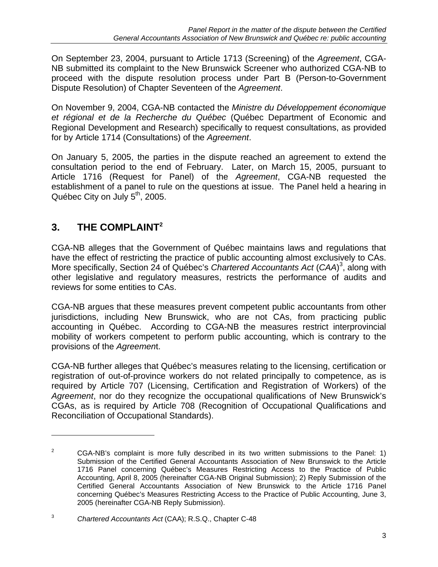On September 23, 2004, pursuant to Article 1713 (Screening) of the *Agreement*, CGA-NB submitted its complaint to the New Brunswick Screener who authorized CGA-NB to proceed with the dispute resolution process under Part B (Person-to-Government Dispute Resolution) of Chapter Seventeen of the *Agreement*.

On November 9, 2004, CGA-NB contacted the *Ministre du Développement économique et régional et de la Recherche du Québec* (Québec Department of Economic and Regional Development and Research) specifically to request consultations, as provided for by Article 1714 (Consultations) of the *Agreement*.

On January 5, 2005, the parties in the dispute reached an agreement to extend the consultation period to the end of February. Later, on March 15, 2005, pursuant to Article 1716 (Request for Panel) of the *Agreement*, CGA-NB requested the establishment of a panel to rule on the questions at issue. The Panel held a hearing in Québec City on July  $5<sup>th</sup>$ , 2005.

# **3. THE COMPLAINT2**

 $\overline{a}$ 

CGA-NB alleges that the Government of Québec maintains laws and regulations that have the effect of restricting the practice of public accounting almost exclusively to CAs. More specifically, Section 24 of Québec's *Chartered Accountants Act* (*CAA*) 3 , along with other legislative and regulatory measures, restricts the performance of audits and reviews for some entities to CAs.

CGA-NB argues that these measures prevent competent public accountants from other jurisdictions, including New Brunswick, who are not CAs, from practicing public accounting in Québec. According to CGA-NB the measures restrict interprovincial mobility of workers competent to perform public accounting, which is contrary to the provisions of the *Agreemen*t.

CGA-NB further alleges that Québec's measures relating to the licensing, certification or registration of out-of-province workers do not related principally to competence, as is required by Article 707 (Licensing, Certification and Registration of Workers) of the *Agreement*, nor do they recognize the occupational qualifications of New Brunswick's CGAs, as is required by Article 708 (Recognition of Occupational Qualifications and Reconciliation of Occupational Standards).

<sup>2</sup> CGA-NB's complaint is more fully described in its two written submissions to the Panel: 1) Submission of the Certified General Accountants Association of New Brunswick to the Article 1716 Panel concerning Québec's Measures Restricting Access to the Practice of Public Accounting, April 8, 2005 (hereinafter CGA-NB Original Submission); 2) Reply Submission of the Certified General Accountants Association of New Brunswick to the Article 1716 Panel concerning Québec's Measures Restricting Access to the Practice of Public Accounting, June 3, 2005 (hereinafter CGA-NB Reply Submission).

<sup>3</sup> *Chartered Accountants Act* (CAA); R.S.Q., Chapter C-48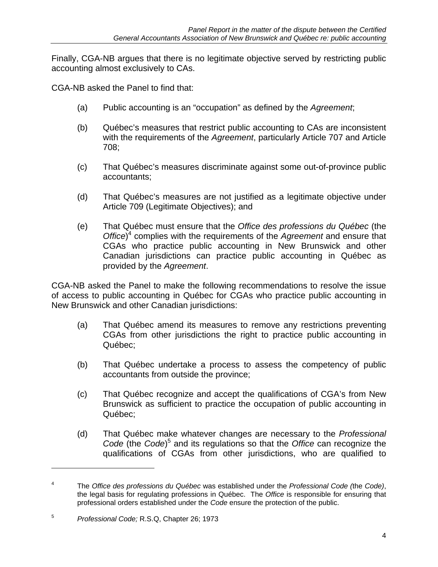Finally, CGA-NB argues that there is no legitimate objective served by restricting public accounting almost exclusively to CAs.

CGA-NB asked the Panel to find that:

- (a) Public accounting is an "occupation" as defined by the *Agreement*;
- (b) Québec's measures that restrict public accounting to CAs are inconsistent with the requirements of the *Agreement*, particularly Article 707 and Article 708;
- (c) That Québec's measures discriminate against some out-of-province public accountants;
- (d) That Québec's measures are not justified as a legitimate objective under Article 709 (Legitimate Objectives); and
- (e) That Québec must ensure that the *Office des professions du Québec* (the *Office*) 4 complies with the requirements of the *Agreement* and ensure that CGAs who practice public accounting in New Brunswick and other Canadian jurisdictions can practice public accounting in Québec as provided by the *Agreement*.

CGA-NB asked the Panel to make the following recommendations to resolve the issue of access to public accounting in Québec for CGAs who practice public accounting in New Brunswick and other Canadian jurisdictions:

- (a) That Québec amend its measures to remove any restrictions preventing CGAs from other jurisdictions the right to practice public accounting in Québec;
- (b) That Québec undertake a process to assess the competency of public accountants from outside the province;
- (c) That Québec recognize and accept the qualifications of CGA's from New Brunswick as sufficient to practice the occupation of public accounting in Québec;
- (d) That Québec make whatever changes are necessary to the *Professional*  Code (the Code)<sup>5</sup> and its regulations so that the *Office* can recognize the qualifications of CGAs from other jurisdictions, who are qualified to

 $\overline{a}$ 

<sup>4</sup> The *Office des professions du Québec* was established under the *Professional Code (*the *Code)*, the legal basis for regulating professions in Québec. The *Office* is responsible for ensuring that professional orders established under the *Code* ensure the protection of the public.

<sup>5</sup> *Professional Code;* R.S.Q, Chapter 26; 1973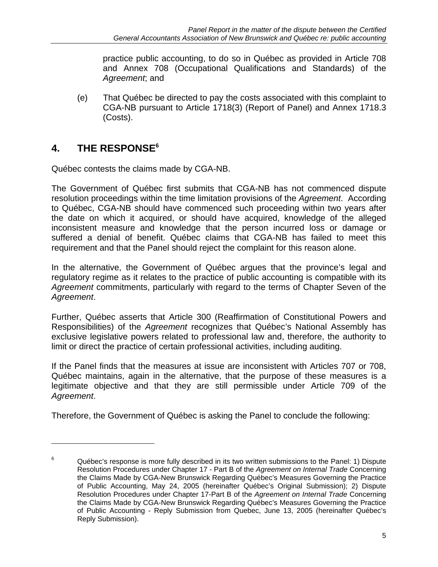practice public accounting, to do so in Québec as provided in Article 708 and Annex 708 (Occupational Qualifications and Standards) of the *Agreement*; and

(e) That Québec be directed to pay the costs associated with this complaint to CGA-NB pursuant to Article 1718(3) (Report of Panel) and Annex 1718.3 (Costs).

# **4. THE RESPONSE6**

 $\overline{a}$ 

Québec contests the claims made by CGA-NB.

The Government of Québec first submits that CGA-NB has not commenced dispute resolution proceedings within the time limitation provisions of the *Agreement*. According to Québec, CGA-NB should have commenced such proceeding within two years after the date on which it acquired, or should have acquired, knowledge of the alleged inconsistent measure and knowledge that the person incurred loss or damage or suffered a denial of benefit. Québec claims that CGA-NB has failed to meet this requirement and that the Panel should reject the complaint for this reason alone.

In the alternative, the Government of Québec argues that the province's legal and regulatory regime as it relates to the practice of public accounting is compatible with its *Agreement* commitments, particularly with regard to the terms of Chapter Seven of the *Agreement*.

Further, Québec asserts that Article 300 (Reaffirmation of Constitutional Powers and Responsibilities) of the *Agreement* recognizes that Québec's National Assembly has exclusive legislative powers related to professional law and, therefore, the authority to limit or direct the practice of certain professional activities, including auditing.

If the Panel finds that the measures at issue are inconsistent with Articles 707 or 708, Québec maintains, again in the alternative, that the purpose of these measures is a legitimate objective and that they are still permissible under Article 709 of the *Agreement*.

Therefore, the Government of Québec is asking the Panel to conclude the following:

<sup>6</sup> Québec's response is more fully described in its two written submissions to the Panel: 1) Dispute Resolution Procedures under Chapter 17 - Part B of the *Agreement on Internal Trade* Concerning the Claims Made by CGA-New Brunswick Regarding Québec's Measures Governing the Practice of Public Accounting, May 24, 2005 (hereinafter Québec's Original Submission); 2) Dispute Resolution Procedures under Chapter 17-Part B of the *Agreement on Internal Trade* Concerning the Claims Made by CGA-New Brunswick Regarding Québec's Measures Governing the Practice of Public Accounting - Reply Submission from Quebec, June 13, 2005 (hereinafter Québec's Reply Submission).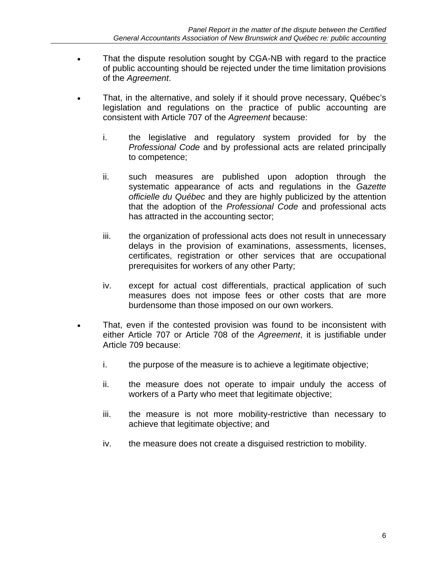- That the dispute resolution sought by CGA-NB with regard to the practice of public accounting should be rejected under the time limitation provisions of the *Agreement*.
- That, in the alternative, and solely if it should prove necessary, Québec's legislation and regulations on the practice of public accounting are consistent with Article 707 of the *Agreement* because:
	- i. the legislative and regulatory system provided for by the *Professional Code* and by professional acts are related principally to competence;
	- ii. such measures are published upon adoption through the systematic appearance of acts and regulations in the *Gazette officielle du Québec* and they are highly publicized by the attention that the adoption of the *Professional Code* and professional acts has attracted in the accounting sector;
	- iii. the organization of professional acts does not result in unnecessary delays in the provision of examinations, assessments, licenses, certificates, registration or other services that are occupational prerequisites for workers of any other Party;
	- iv. except for actual cost differentials, practical application of such measures does not impose fees or other costs that are more burdensome than those imposed on our own workers.
- That, even if the contested provision was found to be inconsistent with either Article 707 or Article 708 of the *Agreement*, it is justifiable under Article 709 because:
	- i. the purpose of the measure is to achieve a legitimate objective;
	- ii. the measure does not operate to impair unduly the access of workers of a Party who meet that legitimate objective:
	- iii. the measure is not more mobility-restrictive than necessary to achieve that legitimate objective; and
	- iv. the measure does not create a disguised restriction to mobility.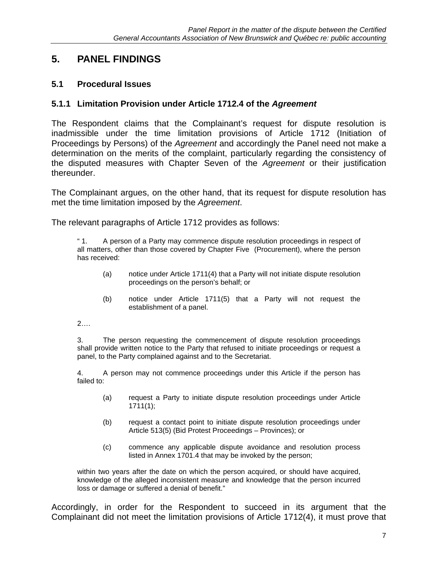# **5. PANEL FINDINGS**

### **5.1 Procedural Issues**

#### **5.1.1 Limitation Provision under Article 1712.4 of the** *Agreement*

The Respondent claims that the Complainant's request for dispute resolution is inadmissible under the time limitation provisions of Article 1712 (Initiation of Proceedings by Persons) of the *Agreement* and accordingly the Panel need not make a determination on the merits of the complaint, particularly regarding the consistency of the disputed measures with Chapter Seven of the *Agreement* or their justification thereunder.

The Complainant argues, on the other hand, that its request for dispute resolution has met the time limitation imposed by the *Agreement*.

The relevant paragraphs of Article 1712 provides as follows:

" 1. A person of a Party may commence dispute resolution proceedings in respect of all matters, other than those covered by Chapter Five (Procurement), where the person has received:

- (a) notice under Article 1711(4) that a Party will not initiate dispute resolution proceedings on the person's behalf; or
- (b) notice under Article 1711(5) that a Party will not request the establishment of a panel.

2….

3. The person requesting the commencement of dispute resolution proceedings shall provide written notice to the Party that refused to initiate proceedings or request a panel, to the Party complained against and to the Secretariat.

4. A person may not commence proceedings under this Article if the person has failed to:

- (a) request a Party to initiate dispute resolution proceedings under Article 1711(1);
- (b) request a contact point to initiate dispute resolution proceedings under Article 513(5) (Bid Protest Proceedings – Provinces); or
- (c) commence any applicable dispute avoidance and resolution process listed in Annex 1701.4 that may be invoked by the person;

within two years after the date on which the person acquired, or should have acquired, knowledge of the alleged inconsistent measure and knowledge that the person incurred loss or damage or suffered a denial of benefit."

Accordingly, in order for the Respondent to succeed in its argument that the Complainant did not meet the limitation provisions of Article 1712(4), it must prove that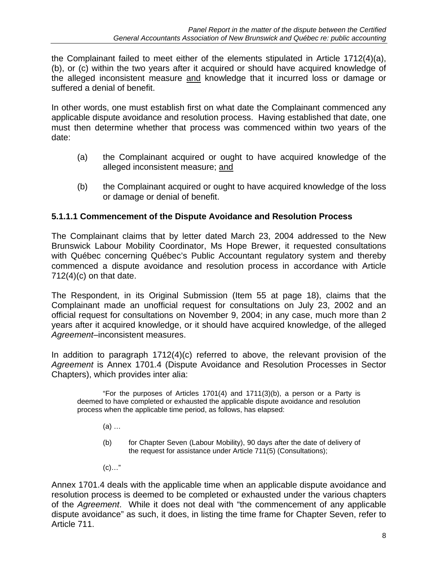the Complainant failed to meet either of the elements stipulated in Article 1712(4)(a), (b), or (c) within the two years after it acquired or should have acquired knowledge of the alleged inconsistent measure and knowledge that it incurred loss or damage or suffered a denial of benefit.

In other words, one must establish first on what date the Complainant commenced any applicable dispute avoidance and resolution process. Having established that date, one must then determine whether that process was commenced within two years of the date:

- (a) the Complainant acquired or ought to have acquired knowledge of the alleged inconsistent measure; and
- (b) the Complainant acquired or ought to have acquired knowledge of the loss or damage or denial of benefit.

## **5.1.1.1 Commencement of the Dispute Avoidance and Resolution Process**

The Complainant claims that by letter dated March 23, 2004 addressed to the New Brunswick Labour Mobility Coordinator, Ms Hope Brewer, it requested consultations with Québec concerning Québec's Public Accountant regulatory system and thereby commenced a dispute avoidance and resolution process in accordance with Article  $712(4)(c)$  on that date.

The Respondent, in its Original Submission (Item 55 at page 18), claims that the Complainant made an unofficial request for consultations on July 23, 2002 and an official request for consultations on November 9, 2004; in any case, much more than 2 years after it acquired knowledge, or it should have acquired knowledge, of the alleged *Agreement*–inconsistent measures.

In addition to paragraph 1712(4)(c) referred to above, the relevant provision of the *Agreement* is Annex 1701.4 (Dispute Avoidance and Resolution Processes in Sector Chapters), which provides inter alia:

 "For the purposes of Articles 1701(4) and 1711(3)(b), a person or a Party is deemed to have completed or exhausted the applicable dispute avoidance and resolution process when the applicable time period, as follows, has elapsed:

- (a) …
- (b) for Chapter Seven (Labour Mobility), 90 days after the date of delivery of the request for assistance under Article 711(5) (Consultations);
- $(c)$ …"

Annex 1701.4 deals with the applicable time when an applicable dispute avoidance and resolution process is deemed to be completed or exhausted under the various chapters of the *Agreement*. While it does not deal with "the commencement of any applicable dispute avoidance" as such, it does, in listing the time frame for Chapter Seven, refer to Article 711.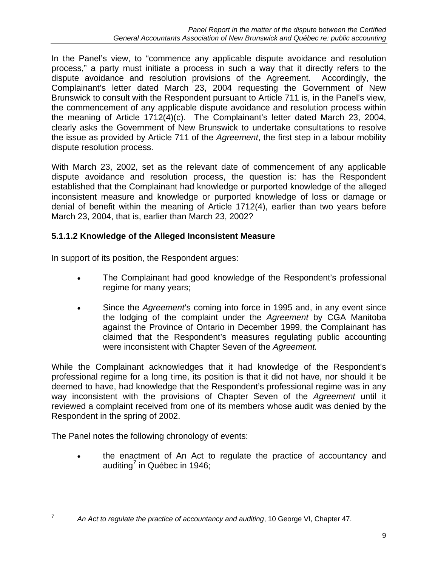In the Panel's view, to "commence any applicable dispute avoidance and resolution process," a party must initiate a process in such a way that it directly refers to the dispute avoidance and resolution provisions of the Agreement. Accordingly, the Complainant's letter dated March 23, 2004 requesting the Government of New Brunswick to consult with the Respondent pursuant to Article 711 is, in the Panel's view, the commencement of any applicable dispute avoidance and resolution process within the meaning of Article 1712(4)(c). The Complainant's letter dated March 23, 2004, clearly asks the Government of New Brunswick to undertake consultations to resolve the issue as provided by Article 711 of the *Agreement*, the first step in a labour mobility dispute resolution process.

With March 23, 2002, set as the relevant date of commencement of any applicable dispute avoidance and resolution process, the question is: has the Respondent established that the Complainant had knowledge or purported knowledge of the alleged inconsistent measure and knowledge or purported knowledge of loss or damage or denial of benefit within the meaning of Article 1712(4), earlier than two years before March 23, 2004, that is, earlier than March 23, 2002?

## **5.1.1.2 Knowledge of the Alleged Inconsistent Measure**

In support of its position, the Respondent argues:

- The Complainant had good knowledge of the Respondent's professional regime for many years;
- Since the *Agreement*'s coming into force in 1995 and, in any event since the lodging of the complaint under the *Agreement* by CGA Manitoba against the Province of Ontario in December 1999, the Complainant has claimed that the Respondent's measures regulating public accounting were inconsistent with Chapter Seven of the *Agreement.*

While the Complainant acknowledges that it had knowledge of the Respondent's professional regime for a long time, its position is that it did not have, nor should it be deemed to have, had knowledge that the Respondent's professional regime was in any way inconsistent with the provisions of Chapter Seven of the *Agreement* until it reviewed a complaint received from one of its members whose audit was denied by the Respondent in the spring of 2002.

The Panel notes the following chronology of events:

 $\overline{a}$ 

• the enactment of An Act to regulate the practice of accountancy and auditing*<sup>7</sup>* in Québec in 1946;

<sup>7</sup> *An Act to regulate the practice of accountancy and auditing*, 10 George VI, Chapter 47.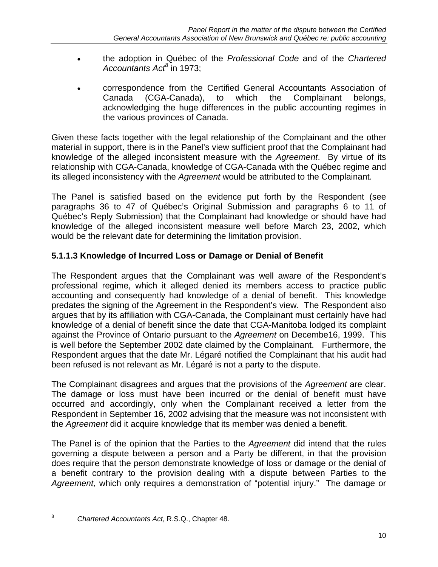- the adoption in Québec of the *Professional Code* and of the *Chartered Accountants Act<sup>8</sup>* in 1973;
- correspondence from the Certified General Accountants Association of Canada (CGA-Canada), to which the Complainant belongs, acknowledging the huge differences in the public accounting regimes in the various provinces of Canada.

Given these facts together with the legal relationship of the Complainant and the other material in support, there is in the Panel's view sufficient proof that the Complainant had knowledge of the alleged inconsistent measure with the *Agreement*. By virtue of its relationship with CGA-Canada, knowledge of CGA-Canada with the Québec regime and its alleged inconsistency with the *Agreement* would be attributed to the Complainant.

The Panel is satisfied based on the evidence put forth by the Respondent (see paragraphs 36 to 47 of Québec's Original Submission and paragraphs 6 to 11 of Québec's Reply Submission) that the Complainant had knowledge or should have had knowledge of the alleged inconsistent measure well before March 23, 2002, which would be the relevant date for determining the limitation provision.

## **5.1.1.3 Knowledge of Incurred Loss or Damage or Denial of Benefit**

The Respondent argues that the Complainant was well aware of the Respondent's professional regime, which it alleged denied its members access to practice public accounting and consequently had knowledge of a denial of benefit. This knowledge predates the signing of the Agreement in the Respondent's view. The Respondent also argues that by its affiliation with CGA-Canada, the Complainant must certainly have had knowledge of a denial of benefit since the date that CGA-Manitoba lodged its complaint against the Province of Ontario pursuant to the *Agreement* on Decembe16, 1999. This is well before the September 2002 date claimed by the Complainant. Furthermore, the Respondent argues that the date Mr. Légaré notified the Complainant that his audit had been refused is not relevant as Mr. Légaré is not a party to the dispute.

The Complainant disagrees and argues that the provisions of the *Agreement* are clear. The damage or loss must have been incurred or the denial of benefit must have occurred and accordingly, only when the Complainant received a letter from the Respondent in September 16, 2002 advising that the measure was not inconsistent with the *Agreement* did it acquire knowledge that its member was denied a benefit.

The Panel is of the opinion that the Parties to the *Agreement* did intend that the rules governing a dispute between a person and a Party be different, in that the provision does require that the person demonstrate knowledge of loss or damage or the denial of a benefit contrary to the provision dealing with a dispute between Parties to the *Agreement,* which only requires a demonstration of "potential injury." The damage or

 $\overline{a}$ 

<sup>8</sup> *Chartered Accountants Act*, R.S.Q., Chapter 48.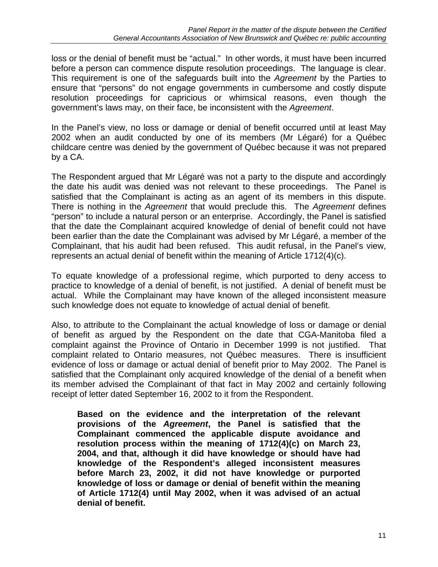loss or the denial of benefit must be "actual." In other words, it must have been incurred before a person can commence dispute resolution proceedings. The language is clear. This requirement is one of the safeguards built into the *Agreement* by the Parties to ensure that "persons" do not engage governments in cumbersome and costly dispute resolution proceedings for capricious or whimsical reasons, even though the government's laws may, on their face, be inconsistent with the *Agreement*.

In the Panel's view, no loss or damage or denial of benefit occurred until at least May 2002 when an audit conducted by one of its members (Mr Légaré) for a Québec childcare centre was denied by the government of Québec because it was not prepared by a CA.

The Respondent argued that Mr Légaré was not a party to the dispute and accordingly the date his audit was denied was not relevant to these proceedings. The Panel is satisfied that the Complainant is acting as an agent of its members in this dispute. There is nothing in the *Agreement* that would preclude this. The *Agreement* defines "person" to include a natural person or an enterprise. Accordingly, the Panel is satisfied that the date the Complainant acquired knowledge of denial of benefit could not have been earlier than the date the Complainant was advised by Mr Légaré, a member of the Complainant, that his audit had been refused. This audit refusal, in the Panel's view, represents an actual denial of benefit within the meaning of Article 1712(4)(c).

To equate knowledge of a professional regime, which purported to deny access to practice to knowledge of a denial of benefit, is not justified. A denial of benefit must be actual. While the Complainant may have known of the alleged inconsistent measure such knowledge does not equate to knowledge of actual denial of benefit.

Also, to attribute to the Complainant the actual knowledge of loss or damage or denial of benefit as argued by the Respondent on the date that CGA-Manitoba filed a complaint against the Province of Ontario in December 1999 is not justified. That complaint related to Ontario measures, not Québec measures. There is insufficient evidence of loss or damage or actual denial of benefit prior to May 2002. The Panel is satisfied that the Complainant only acquired knowledge of the denial of a benefit when its member advised the Complainant of that fact in May 2002 and certainly following receipt of letter dated September 16, 2002 to it from the Respondent.

**Based on the evidence and the interpretation of the relevant provisions of the** *Agreement***, the Panel is satisfied that the Complainant commenced the applicable dispute avoidance and resolution process within the meaning of 1712(4)(c) on March 23, 2004, and that, although it did have knowledge or should have had knowledge of the Respondent's alleged inconsistent measures before March 23, 2002, it did not have knowledge or purported knowledge of loss or damage or denial of benefit within the meaning of Article 1712(4) until May 2002, when it was advised of an actual denial of benefit.**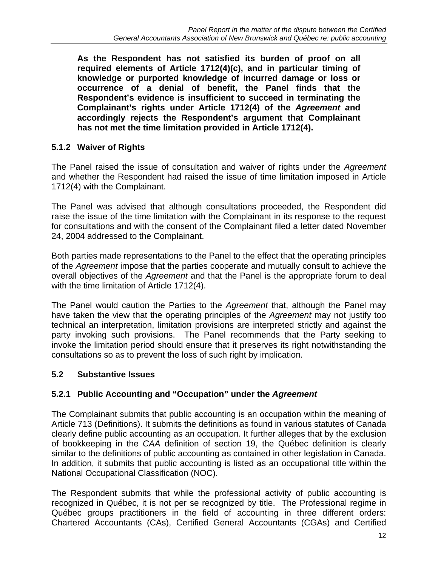**As the Respondent has not satisfied its burden of proof on all required elements of Article 1712(4)(c), and in particular timing of knowledge or purported knowledge of incurred damage or loss or occurrence of a denial of benefit, the Panel finds that the Respondent's evidence is insufficient to succeed in terminating the Complainant's rights under Article 1712(4) of the** *Agreement a***nd accordingly rejects the Respondent's argument that Complainant has not met the time limitation provided in Article 1712(4).** 

## **5.1.2 Waiver of Rights**

The Panel raised the issue of consultation and waiver of rights under the *Agreement*  and whether the Respondent had raised the issue of time limitation imposed in Article 1712(4) with the Complainant.

The Panel was advised that although consultations proceeded, the Respondent did raise the issue of the time limitation with the Complainant in its response to the request for consultations and with the consent of the Complainant filed a letter dated November 24, 2004 addressed to the Complainant.

Both parties made representations to the Panel to the effect that the operating principles of the *Agreement* impose that the parties cooperate and mutually consult to achieve the overall objectives of the *Agreement* and that the Panel is the appropriate forum to deal with the time limitation of Article 1712(4).

The Panel would caution the Parties to the *Agreement* that, although the Panel may have taken the view that the operating principles of the *Agreement* may not justify too technical an interpretation, limitation provisions are interpreted strictly and against the party invoking such provisions. The Panel recommends that the Party seeking to invoke the limitation period should ensure that it preserves its right notwithstanding the consultations so as to prevent the loss of such right by implication.

## **5.2 Substantive Issues**

## **5.2.1 Public Accounting and "Occupation" under the** *Agreement*

The Complainant submits that public accounting is an occupation within the meaning of Article 713 (Definitions). It submits the definitions as found in various statutes of Canada clearly define public accounting as an occupation. It further alleges that by the exclusion of bookkeeping in the *CAA* definition of section 19, the Québec definition is clearly similar to the definitions of public accounting as contained in other legislation in Canada. In addition, it submits that public accounting is listed as an occupational title within the National Occupational Classification (NOC).

The Respondent submits that while the professional activity of public accounting is recognized in Québec, it is not per se recognized by title. The Professional regime in Québec groups practitioners in the field of accounting in three different orders: Chartered Accountants (CAs), Certified General Accountants (CGAs) and Certified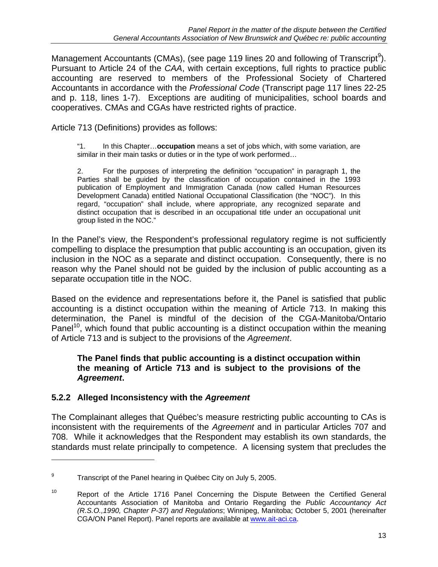Management Accountants (CMAs), (see page 119 lines 20 and following of Transcript<sup>9</sup>). Pursuant to Article 24 of the *CAA*, with certain exceptions, full rights to practice public accounting are reserved to members of the Professional Society of Chartered Accountants in accordance with the *Professional Code* (Transcript page 117 lines 22-25 and p. 118, lines 1-7). Exceptions are auditing of municipalities, school boards and cooperatives. CMAs and CGAs have restricted rights of practice.

Article 713 (Definitions) provides as follows:

 "1. In this Chapter…**occupation** means a set of jobs which, with some variation, are similar in their main tasks or duties or in the type of work performed…

2. For the purposes of interpreting the definition "occupation" in paragraph 1, the Parties shall be guided by the classification of occupation contained in the 1993 publication of Employment and Immigration Canada (now called Human Resources Development Canada) entitled National Occupational Classification (the "NOC"). In this regard, "occupation" shall include, where appropriate, any recognized separate and distinct occupation that is described in an occupational title under an occupational unit group listed in the NOC."

In the Panel's view, the Respondent's professional regulatory regime is not sufficiently compelling to displace the presumption that public accounting is an occupation, given its inclusion in the NOC as a separate and distinct occupation. Consequently, there is no reason why the Panel should not be guided by the inclusion of public accounting as a separate occupation title in the NOC.

Based on the evidence and representations before it, the Panel is satisfied that public accounting is a distinct occupation within the meaning of Article 713. In making this determination, the Panel is mindful of the decision of the CGA-Manitoba/Ontario Panel<sup>10</sup>, which found that public accounting is a distinct occupation within the meaning of Article 713 and is subject to the provisions of the *Agreement*.

#### **The Panel finds that public accounting is a distinct occupation within the meaning of Article 713 and is subject to the provisions of the**  *Agreement***.**

## **5.2.2 Alleged Inconsistency with the** *Agreement*

 $\overline{a}$ 

The Complainant alleges that Québec's measure restricting public accounting to CAs is inconsistent with the requirements of the *Agreement* and in particular Articles 707 and 708. While it acknowledges that the Respondent may establish its own standards, the standards must relate principally to competence. A licensing system that precludes the

<sup>9</sup> Transcript of the Panel hearing in Québec City on July 5, 2005.

<sup>&</sup>lt;sup>10</sup> Report of the Article 1716 Panel Concerning the Dispute Between the Certified General Accountants Association of Manitoba and Ontario Regarding the *Public Accountancy Act (R.S.O.,1990, Chapter P-37) and Regulations*; Winnipeg, Manitoba; October 5, 2001 (hereinafter CGA/ON Panel Report). Panel reports are available at www.ait-aci.ca.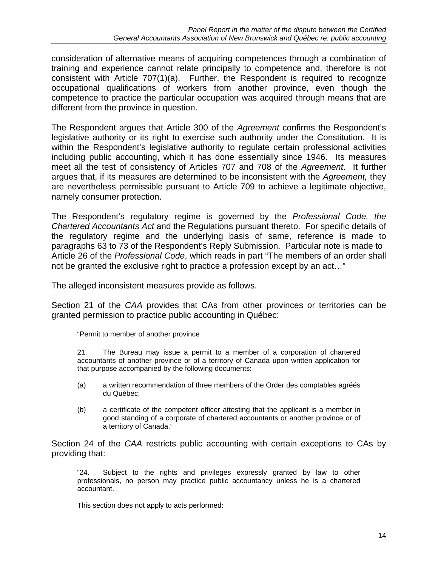consideration of alternative means of acquiring competences through a combination of training and experience cannot relate principally to competence and, therefore is not consistent with Article 707(1)(a). Further, the Respondent is required to recognize occupational qualifications of workers from another province, even though the competence to practice the particular occupation was acquired through means that are different from the province in question.

The Respondent argues that Article 300 of the *Agreement* confirms the Respondent's legislative authority or its right to exercise such authority under the Constitution. It is within the Respondent's legislative authority to regulate certain professional activities including public accounting, which it has done essentially since 1946. Its measures meet all the test of consistency of Articles 707 and 708 of the *Agreement*. It further argues that, if its measures are determined to be inconsistent with the *Agreement,* they are nevertheless permissible pursuant to Article 709 to achieve a legitimate objective, namely consumer protection.

The Respondent's regulatory regime is governed by the *Professional Code, the Chartered Accountants Act* and the Regulations pursuant thereto. For specific details of the regulatory regime and the underlying basis of same, reference is made to paragraphs 63 to 73 of the Respondent's Reply Submission. Particular note is made to Article 26 of the *Professional Code*, which reads in part "The members of an order shall not be granted the exclusive right to practice a profession except by an act…"

The alleged inconsistent measures provide as follows.

Section 21 of the *CAA* provides that CAs from other provinces or territories can be granted permission to practice public accounting in Québec:

"Permit to member of another province

21. The Bureau may issue a permit to a member of a corporation of chartered accountants of another province or of a territory of Canada upon written application for that purpose accompanied by the following documents:

- (a) a written recommendation of three members of the Order des comptables agréés du Québec;
- (b) a certificate of the competent officer attesting that the applicant is a member in good standing of a corporate of chartered accountants or another province or of a territory of Canada."

Section 24 of the *CAA* restricts public accounting with certain exceptions to CAs by providing that:

"24. Subject to the rights and privileges expressly granted by law to other professionals, no person may practice public accountancy unless he is a chartered accountant.

This section does not apply to acts performed: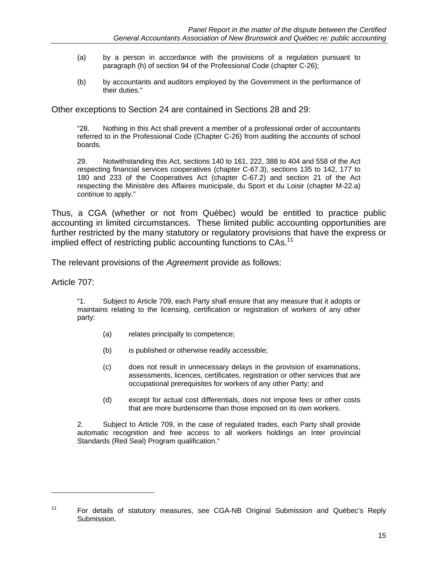- (a) by a person in accordance with the provisions of a regulation pursuant to paragraph (h) of section 94 of the Professional Code (chapter C-26);
- (b) by accountants and auditors employed by the Government in the performance of their duties."

Other exceptions to Section 24 are contained in Sections 28 and 29:

"28. Nothing in this Act shall prevent a member of a professional order of accountants referred to in the Professional Code (Chapter C-26) from auditing the accounts of school boards.

29. Notwithstanding this Act, sections 140 to 161, 222, 388 to 404 and 558 of the Act respecting financial services cooperatives (chapter C-67.3), sections 135 to 142, 177 to 180 and 233 of the Cooperatives Act (chapter C-67.2) and section 21 of the Act respecting the Ministère des Affaires municipale, du Sport et du Loisir (chapter M-22.a) continue to apply."

Thus, a CGA (whether or not from Québec) would be entitled to practice public accounting in limited circumstances. These limited public accounting opportunities are further restricted by the many statutory or regulatory provisions that have the express or implied effect of restricting public accounting functions to CAs.<sup>11</sup>

The relevant provisions of the *Agreemen*t provide as follows:

Article 707:

 $\overline{a}$ 

"1. Subject to Article 709, each Party shall ensure that any measure that it adopts or maintains relating to the licensing, certification or registration of workers of any other party:

- (a) relates principally to competence;
- (b) is published or otherwise readily accessible;
- (c) does not result in unnecessary delays in the provision of examinations, assessments, licences, certificates, registration or other services that are occupational prerequisites for workers of any other Party; and
- (d) except for actual cost differentials, does not impose fees or other costs that are more burdensome than those imposed on its own workers.

2. Subject to Article 709, in the case of regulated trades, each Party shall provide automatic recognition and free access to all workers holdings an Inter provincial Standards (Red Seal) Program qualification."

<sup>11</sup> For details of statutory measures, see CGA-NB Original Submission and Québec's Reply Submission.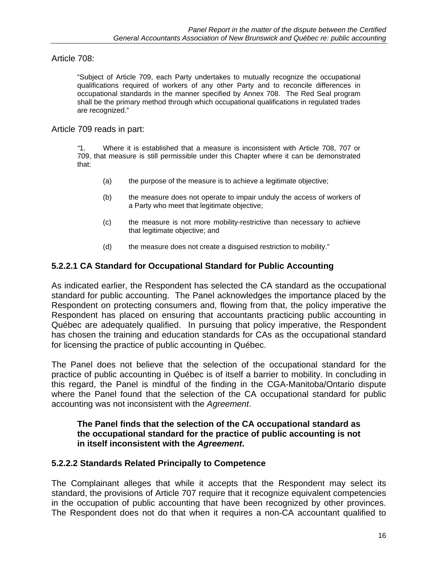Article 708:

"Subject of Article 709, each Party undertakes to mutually recognize the occupational qualifications required of workers of any other Party and to reconcile differences in occupational standards in the manner specified by Annex 708. The Red Seal program shall be the primary method through which occupational qualifications in regulated trades are recognized."

#### Article 709 reads in part:

*"*1. Where it is established that a measure is inconsistent with Article 708, 707 or 709, that measure is still permissible under this Chapter where it can be demonstrated that:

- (a) the purpose of the measure is to achieve a legitimate objective;
- (b) the measure does not operate to impair unduly the access of workers of a Party who meet that legitimate objective;
- (c) the measure is not more mobility-restrictive than necessary to achieve that legitimate objective; and
- (d) the measure does not create a disguised restriction to mobility."

## **5.2.2.1 CA Standard for Occupational Standard for Public Accounting**

As indicated earlier, the Respondent has selected the CA standard as the occupational standard for public accounting. The Panel acknowledges the importance placed by the Respondent on protecting consumers and, flowing from that, the policy imperative the Respondent has placed on ensuring that accountants practicing public accounting in Québec are adequately qualified. In pursuing that policy imperative, the Respondent has chosen the training and education standards for CAs as the occupational standard for licensing the practice of public accounting in Québec.

The Panel does not believe that the selection of the occupational standard for the practice of public accounting in Québec is of itself a barrier to mobility. In concluding in this regard, the Panel is mindful of the finding in the CGA-Manitoba/Ontario dispute where the Panel found that the selection of the CA occupational standard for public accounting was not inconsistent with the *Agreement*.

#### **The Panel finds that the selection of the CA occupational standard as the occupational standard for the practice of public accounting is not in itself inconsistent with the** *Agreement***.**

## **5.2.2.2 Standards Related Principally to Competence**

The Complainant alleges that while it accepts that the Respondent may select its standard, the provisions of Article 707 require that it recognize equivalent competencies in the occupation of public accounting that have been recognized by other provinces. The Respondent does not do that when it requires a non-CA accountant qualified to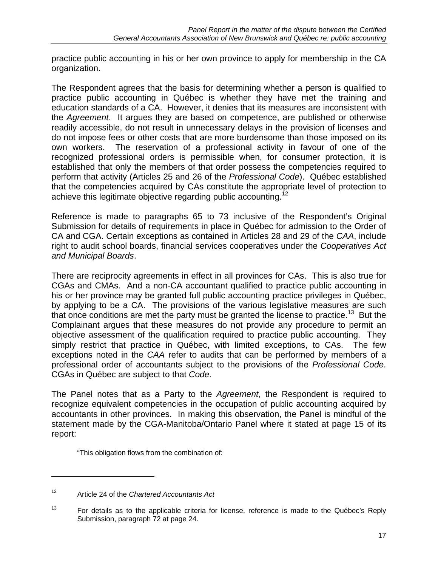practice public accounting in his or her own province to apply for membership in the CA organization.

The Respondent agrees that the basis for determining whether a person is qualified to practice public accounting in Québec is whether they have met the training and education standards of a CA. However, it denies that its measures are inconsistent with the *Agreement*. It argues they are based on competence, are published or otherwise readily accessible, do not result in unnecessary delays in the provision of licenses and do not impose fees or other costs that are more burdensome than those imposed on its own workers. The reservation of a professional activity in favour of one of the recognized professional orders is permissible when, for consumer protection, it is established that only the members of that order possess the competencies required to perform that activity (Articles 25 and 26 of the *Professional Code*). Québec established that the competencies acquired by CAs constitute the appropriate level of protection to achieve this legitimate objective regarding public accounting.<sup>12</sup>

Reference is made to paragraphs 65 to 73 inclusive of the Respondent's Original Submission for details of requirements in place in Québec for admission to the Order of CA and CGA. Certain exceptions as contained in Articles 28 and 29 of the *CAA*, include right to audit school boards, financial services cooperatives under the *Cooperatives Act and Municipal Boards*.

There are reciprocity agreements in effect in all provinces for CAs. This is also true for CGAs and CMAs. And a non-CA accountant qualified to practice public accounting in his or her province may be granted full public accounting practice privileges in Québec, by applying to be a CA. The provisions of the various legislative measures are such that once conditions are met the party must be granted the license to practice.<sup>13</sup> But the Complainant argues that these measures do not provide any procedure to permit an objective assessment of the qualification required to practice public accounting. They simply restrict that practice in Québec, with limited exceptions, to CAs. The few exceptions noted in the *CAA* refer to audits that can be performed by members of a professional order of accountants subject to the provisions of the *Professional Code*. CGAs in Québec are subject to that *Code*.

The Panel notes that as a Party to the *Agreement*, the Respondent is required to recognize equivalent competencies in the occupation of public accounting acquired by accountants in other provinces. In making this observation, the Panel is mindful of the statement made by the CGA-Manitoba/Ontario Panel where it stated at page 15 of its report:

"This obligation flows from the combination of:

 $\overline{a}$ 

<sup>12</sup> Article 24 of the *Chartered Accountants Act*

 $13$  For details as to the applicable criteria for license, reference is made to the Québec's Reply Submission, paragraph 72 at page 24.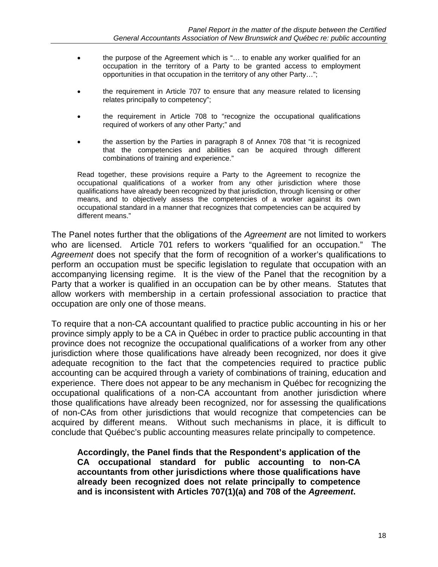- the purpose of the Agreement which is "… to enable any worker qualified for an occupation in the territory of a Party to be granted access to employment opportunities in that occupation in the territory of any other Party…";
- the requirement in Article 707 to ensure that any measure related to licensing relates principally to competency";
- the requirement in Article 708 to "recognize the occupational qualifications required of workers of any other Party;" and
- the assertion by the Parties in paragraph 8 of Annex 708 that "it is recognized that the competencies and abilities can be acquired through different combinations of training and experience."

Read together, these provisions require a Party to the Agreement to recognize the occupational qualifications of a worker from any other jurisdiction where those qualifications have already been recognized by that jurisdiction, through licensing or other means, and to objectively assess the competencies of a worker against its own occupational standard in a manner that recognizes that competencies can be acquired by different means."

The Panel notes further that the obligations of the *Agreement* are not limited to workers who are licensed. Article 701 refers to workers "qualified for an occupation." The *Agreement* does not specify that the form of recognition of a worker's qualifications to perform an occupation must be specific legislation to regulate that occupation with an accompanying licensing regime. It is the view of the Panel that the recognition by a Party that a worker is qualified in an occupation can be by other means. Statutes that allow workers with membership in a certain professional association to practice that occupation are only one of those means.

To require that a non-CA accountant qualified to practice public accounting in his or her province simply apply to be a CA in Québec in order to practice public accounting in that province does not recognize the occupational qualifications of a worker from any other jurisdiction where those qualifications have already been recognized, nor does it give adequate recognition to the fact that the competencies required to practice public accounting can be acquired through a variety of combinations of training, education and experience. There does not appear to be any mechanism in Québec for recognizing the occupational qualifications of a non-CA accountant from another jurisdiction where those qualifications have already been recognized, nor for assessing the qualifications of non-CAs from other jurisdictions that would recognize that competencies can be acquired by different means. Without such mechanisms in place, it is difficult to conclude that Québec's public accounting measures relate principally to competence.

**Accordingly, the Panel finds that the Respondent's application of the CA occupational standard for public accounting to non-CA accountants from other jurisdictions where those qualifications have already been recognized does not relate principally to competence and is inconsistent with Articles 707(1)(a) and 708 of the** *Agreement***.**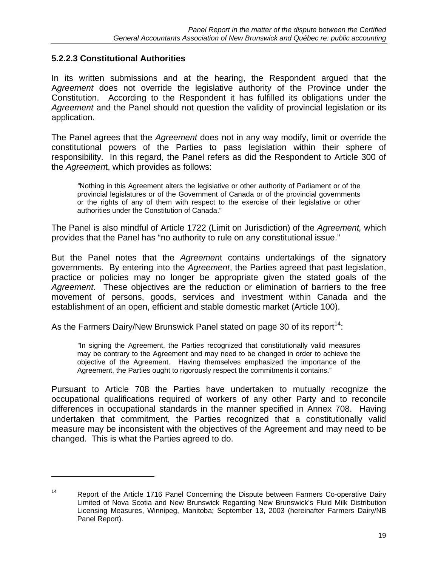#### **5.2.2.3 Constitutional Authorities**

 $\overline{a}$ 

In its written submissions and at the hearing, the Respondent argued that the A*greement* does not override the legislative authority of the Province under the Constitution. According to the Respondent it has fulfilled its obligations under the *Agreement* and the Panel should not question the validity of provincial legislation or its application.

The Panel agrees that the *Agreement* does not in any way modify, limit or override the constitutional powers of the Parties to pass legislation within their sphere of responsibility. In this regard, the Panel refers as did the Respondent to Article 300 of the *Agreemen*t, which provides as follows:

*"*Nothing in this Agreement alters the legislative or other authority of Parliament or of the provincial legislatures or of the Government of Canada or of the provincial governments or the rights of any of them with respect to the exercise of their legislative or other authorities under the Constitution of Canada."

The Panel is also mindful of Article 1722 (Limit on Jurisdiction) of the *Agreement,* which provides that the Panel has "no authority to rule on any constitutional issue."

But the Panel notes that the *Agreemen*t contains undertakings of the signatory governments. By entering into the *Agreement*, the Parties agreed that past legislation, practice or policies may no longer be appropriate given the stated goals of the *Agreement*. These objectives are the reduction or elimination of barriers to the free movement of persons, goods, services and investment within Canada and the establishment of an open, efficient and stable domestic market (Article 100).

As the Farmers Dairy/New Brunswick Panel stated on page 30 of its report<sup>14</sup>:

*"*In signing the Agreement, the Parties recognized that constitutionally valid measures may be contrary to the Agreement and may need to be changed in order to achieve the objective of the Agreement. Having themselves emphasized the importance of the Agreement, the Parties ought to rigorously respect the commitments it contains."

Pursuant to Article 708 the Parties have undertaken to mutually recognize the occupational qualifications required of workers of any other Party and to reconcile differences in occupational standards in the manner specified in Annex 708. Having undertaken that commitment, the Parties recognized that a constitutionally valid measure may be inconsistent with the objectives of the Agreement and may need to be changed. This is what the Parties agreed to do.

<sup>&</sup>lt;sup>14</sup> Report of the Article 1716 Panel Concerning the Dispute between Farmers Co-operative Dairy Limited of Nova Scotia and New Brunswick Regarding New Brunswick's Fluid Milk Distribution Licensing Measures, Winnipeg, Manitoba; September 13, 2003 (hereinafter Farmers Dairy/NB Panel Report).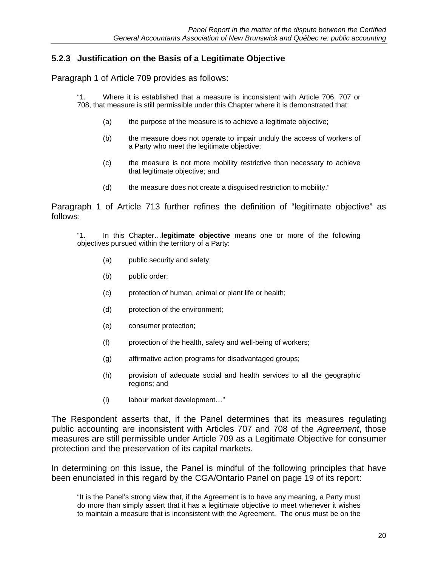#### **5.2.3 Justification on the Basis of a Legitimate Objective**

Paragraph 1 of Article 709 provides as follows:

"1. Where it is established that a measure is inconsistent with Article 706, 707 or 708, that measure is still permissible under this Chapter where it is demonstrated that:

- (a) the purpose of the measure is to achieve a legitimate objective;
- (b) the measure does not operate to impair unduly the access of workers of a Party who meet the legitimate objective;
- (c) the measure is not more mobility restrictive than necessary to achieve that legitimate objective; and
- (d) the measure does not create a disguised restriction to mobility."

Paragraph 1 of Article 713 further refines the definition of "legitimate objective" as follows:

"1. In this Chapter…**legitimate objective** means one or more of the following objectives pursued within the territory of a Party:

- (a) public security and safety;
- (b) public order;
- (c) protection of human, animal or plant life or health;
- (d) protection of the environment;
- (e) consumer protection;
- (f) protection of the health, safety and well-being of workers;
- (g) affirmative action programs for disadvantaged groups;
- (h) provision of adequate social and health services to all the geographic regions; and
- (i) labour market development…"

The Respondent asserts that, if the Panel determines that its measures regulating public accounting are inconsistent with Articles 707 and 708 of the *Agreement*, those measures are still permissible under Article 709 as a Legitimate Objective for consumer protection and the preservation of its capital markets.

In determining on this issue, the Panel is mindful of the following principles that have been enunciated in this regard by the CGA/Ontario Panel on page 19 of its report:

"It is the Panel's strong view that, if the Agreement is to have any meaning, a Party must do more than simply assert that it has a legitimate objective to meet whenever it wishes to maintain a measure that is inconsistent with the Agreement. The onus must be on the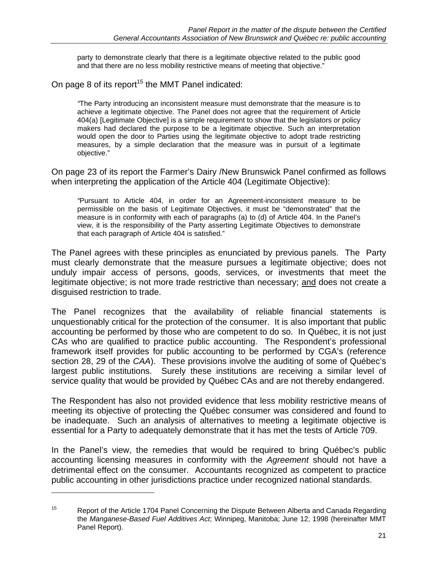party to demonstrate clearly that there is a legitimate objective related to the public good and that there are no less mobility restrictive means of meeting that objective."

On page 8 of its report<sup>15</sup> the MMT Panel indicated:

*"*The Party introducing an inconsistent measure must demonstrate that the measure is to achieve a legitimate objective. The Panel does not agree that the requirement of Article 404(a) [Legitimate Objective] is a simple requirement to show that the legislators or policy makers had declared the purpose to be a legitimate objective. Such an interpretation would open the door to Parties using the legitimate objective to adopt trade restricting measures, by a simple declaration that the measure was in pursuit of a legitimate objective."

On page 23 of its report the Farmer's Dairy /New Brunswick Panel confirmed as follows when interpreting the application of the Article 404 (Legitimate Objective):

*"*Pursuant to Article 404, in order for an Agreement-inconsistent measure to be permissible on the basis of Legitimate Objectives, it must be "demonstrated" that the measure is in conformity with each of paragraphs (a) to (d) of Article 404. In the Panel's view, it is the responsibility of the Party asserting Legitimate Objectives to demonstrate that each paragraph of Article 404 is satisfied."

The Panel agrees with these principles as enunciated by previous panels. The Party must clearly demonstrate that the measure pursues a legitimate objective; does not unduly impair access of persons, goods, services, or investments that meet the legitimate objective; is not more trade restrictive than necessary; and does not create a disguised restriction to trade.

The Panel recognizes that the availability of reliable financial statements is unquestionably critical for the protection of the consumer. It is also important that public accounting be performed by those who are competent to do so. In Québec, it is not just CAs who are qualified to practice public accounting. The Respondent's professional framework itself provides for public accounting to be performed by CGA's (reference section 28, 29 of the *CAA*). These provisions involve the auditing of some of Québec's largest public institutions. Surely these institutions are receiving a similar level of service quality that would be provided by Québec CAs and are not thereby endangered.

The Respondent has also not provided evidence that less mobility restrictive means of meeting its objective of protecting the Québec consumer was considered and found to be inadequate. Such an analysis of alternatives to meeting a legitimate objective is essential for a Party to adequately demonstrate that it has met the tests of Article 709.

In the Panel's view, the remedies that would be required to bring Québec's public accounting licensing measures in conformity with the *Agreement* should not have a detrimental effect on the consumer. Accountants recognized as competent to practice public accounting in other jurisdictions practice under recognized national standards.

 $\overline{a}$ 

<sup>&</sup>lt;sup>15</sup> Report of the Article 1704 Panel Concerning the Dispute Between Alberta and Canada Regarding the *Manganese-Based Fuel Additives Act*; Winnipeg, Manitoba; June 12, 1998 (hereinafter MMT Panel Report).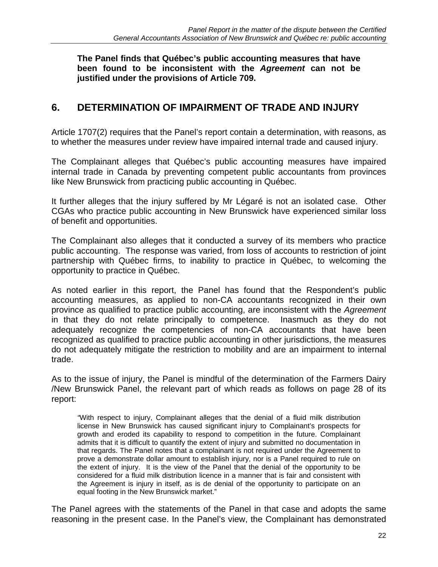**The Panel finds that Québec's public accounting measures that have been found to be inconsistent with the** *Agreement* **can not be justified under the provisions of Article 709.** 

## **6. DETERMINATION OF IMPAIRMENT OF TRADE AND INJURY**

Article 1707(2) requires that the Panel's report contain a determination, with reasons, as to whether the measures under review have impaired internal trade and caused injury.

The Complainant alleges that Québec's public accounting measures have impaired internal trade in Canada by preventing competent public accountants from provinces like New Brunswick from practicing public accounting in Québec.

It further alleges that the injury suffered by Mr Légaré is not an isolated case. Other CGAs who practice public accounting in New Brunswick have experienced similar loss of benefit and opportunities.

The Complainant also alleges that it conducted a survey of its members who practice public accounting. The response was varied, from loss of accounts to restriction of joint partnership with Québec firms, to inability to practice in Québec, to welcoming the opportunity to practice in Québec.

As noted earlier in this report, the Panel has found that the Respondent's public accounting measures, as applied to non-CA accountants recognized in their own province as qualified to practice public accounting, are inconsistent with the *Agreement* in that they do not relate principally to competence. Inasmuch as they do not adequately recognize the competencies of non-CA accountants that have been recognized as qualified to practice public accounting in other jurisdictions, the measures do not adequately mitigate the restriction to mobility and are an impairment to internal trade.

As to the issue of injury, the Panel is mindful of the determination of the Farmers Dairy /New Brunswick Panel, the relevant part of which reads as follows on page 28 of its report:

*"*With respect to injury, Complainant alleges that the denial of a fluid milk distribution license in New Brunswick has caused significant injury to Complainant's prospects for growth and eroded its capability to respond to competition in the future. Complainant admits that it is difficult to quantify the extent of injury and submitted no documentation in that regards. The Panel notes that a complainant is not required under the Agreement to prove a demonstrate dollar amount to establish injury, nor is a Panel required to rule on the extent of injury. It is the view of the Panel that the denial of the opportunity to be considered for a fluid milk distribution licence in a manner that is fair and consistent with the Agreement is injury in itself, as is de denial of the opportunity to participate on an equal footing in the New Brunswick market."

The Panel agrees with the statements of the Panel in that case and adopts the same reasoning in the present case. In the Panel's view, the Complainant has demonstrated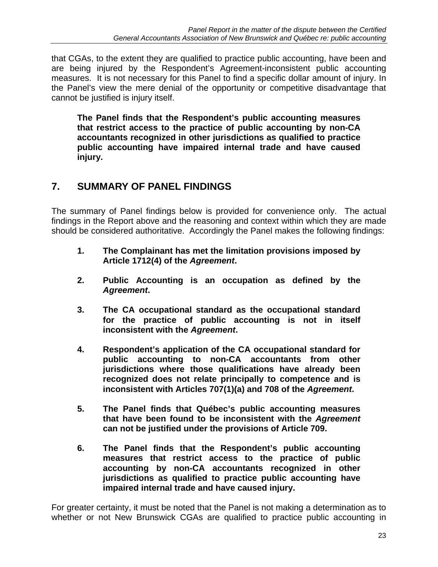that CGAs, to the extent they are qualified to practice public accounting, have been and are being injured by the Respondent's Agreement-inconsistent public accounting measures. It is not necessary for this Panel to find a specific dollar amount of injury. In the Panel's view the mere denial of the opportunity or competitive disadvantage that cannot be justified is injury itself.

**The Panel finds that the Respondent's public accounting measures that restrict access to the practice of public accounting by non-CA accountants recognized in other jurisdictions as qualified to practice public accounting have impaired internal trade and have caused injury.** 

# **7. SUMMARY OF PANEL FINDINGS**

The summary of Panel findings below is provided for convenience only. The actual findings in the Report above and the reasoning and context within which they are made should be considered authoritative. Accordingly the Panel makes the following findings:

- **1. The Complainant has met the limitation provisions imposed by Article 1712(4) of the** *Agreement***.**
- **2. Public Accounting is an occupation as defined by the**  *Agreement***.**
- **3. The CA occupational standard as the occupational standard for the practice of public accounting is not in itself inconsistent with the** *Agreement***.**
- **4. Respondent's application of the CA occupational standard for public accounting to non-CA accountants from other jurisdictions where those qualifications have already been recognized does not relate principally to competence and is inconsistent with Articles 707(1)(a) and 708 of the** *Agreement***.**
- **5. The Panel finds that Québec's public accounting measures that have been found to be inconsistent with the** *Agreement* **can not be justified under the provisions of Article 709.**
- **6. The Panel finds that the Respondent's public accounting measures that restrict access to the practice of public accounting by non-CA accountants recognized in other jurisdictions as qualified to practice public accounting have impaired internal trade and have caused injury.**

For greater certainty, it must be noted that the Panel is not making a determination as to whether or not New Brunswick CGAs are qualified to practice public accounting in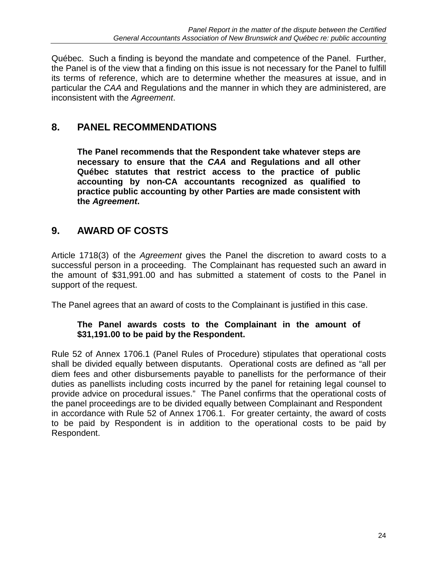Québec. Such a finding is beyond the mandate and competence of the Panel. Further, the Panel is of the view that a finding on this issue is not necessary for the Panel to fulfill its terms of reference, which are to determine whether the measures at issue, and in particular the *CAA* and Regulations and the manner in which they are administered, are inconsistent with the *Agreement*.

# **8. PANEL RECOMMENDATIONS**

**The Panel recommends that the Respondent take whatever steps are necessary to ensure that the** *CAA* **and Regulations and all other Québec statutes that restrict access to the practice of public accounting by non-CA accountants recognized as qualified to practice public accounting by other Parties are made consistent with the** *Agreement***.** 

# **9. AWARD OF COSTS**

Article 1718(3) of the *Agreement* gives the Panel the discretion to award costs to a successful person in a proceeding. The Complainant has requested such an award in the amount of \$31,991.00 and has submitted a statement of costs to the Panel in support of the request.

The Panel agrees that an award of costs to the Complainant is justified in this case.

#### **The Panel awards costs to the Complainant in the amount of \$31,191.00 to be paid by the Respondent.**

Rule 52 of Annex 1706.1 (Panel Rules of Procedure) stipulates that operational costs shall be divided equally between disputants. Operational costs are defined as "all per diem fees and other disbursements payable to panellists for the performance of their duties as panellists including costs incurred by the panel for retaining legal counsel to provide advice on procedural issues." The Panel confirms that the operational costs of the panel proceedings are to be divided equally between Complainant and Respondent in accordance with Rule 52 of Annex 1706.1. For greater certainty, the award of costs to be paid by Respondent is in addition to the operational costs to be paid by Respondent.